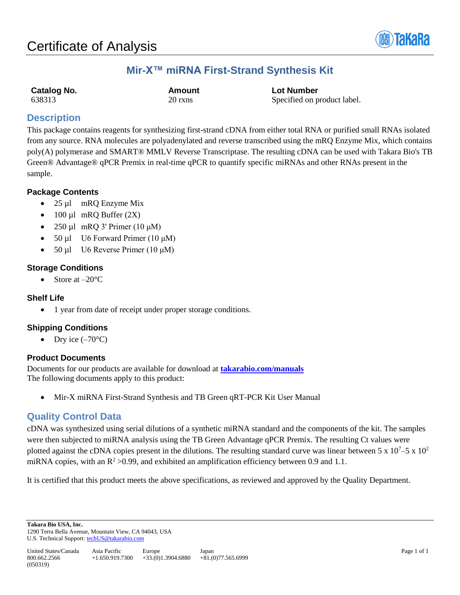

# **Mir-X™ miRNA First-Strand Synthesis Kit**

| Catalog No. | Amount  | <b>Lot Number</b>           |
|-------------|---------|-----------------------------|
| 638313      | 20 rxns | Specified on product label. |

# **Description**

This package contains reagents for synthesizing first-strand cDNA from either total RNA or purified small RNAs isolated from any source. RNA molecules are polyadenylated and reverse transcribed using the mRQ Enzyme Mix, which contains poly(A) polymerase and SMART® MMLV Reverse Transcriptase. The resulting cDNA can be used with Takara Bio's TB Green® Advantage® qPCR Premix in real-time qPCR to quantify specific miRNAs and other RNAs present in the sample.

## **Package Contents**

- $25 \mu l$  mRQ Enzyme Mix
- 100 µl mRQ Buffer  $(2X)$
- 250 µl mRQ 3' Primer (10 µM)
- 50 μl U6 Forward Primer (10 μM)
- 50 µl U6 Reverse Primer (10 μM)

### **Storage Conditions**

• Store at  $-20^{\circ}$ C

### **Shelf Life**

• 1 year from date of receipt under proper storage conditions.

## **Shipping Conditions**

• Dry ice  $(-70^{\circ}C)$ 

### **Product Documents**

Documents for our products are available for download at **[takarabio.com/manuals](http://www.takarabio.com/manuals)** The following documents apply to this product:

• Mir-X miRNA First-Strand Synthesis and TB Green qRT-PCR Kit User Manual

# **Quality Control Data**

cDNA was synthesized using serial dilutions of a synthetic miRNA standard and the components of the kit. The samples were then subjected to miRNA analysis using the TB Green Advantage qPCR Premix. The resulting Ct values were plotted against the cDNA copies present in the dilutions. The resulting standard curve was linear between 5 x  $10^7 - 5 \times 10^2$ miRNA copies, with an  $\mathbb{R}^2 > 0.99$ , and exhibited an amplification efficiency between 0.9 and 1.1.

It is certified that this product meets the above specifications, as reviewed and approved by the Quality Department.